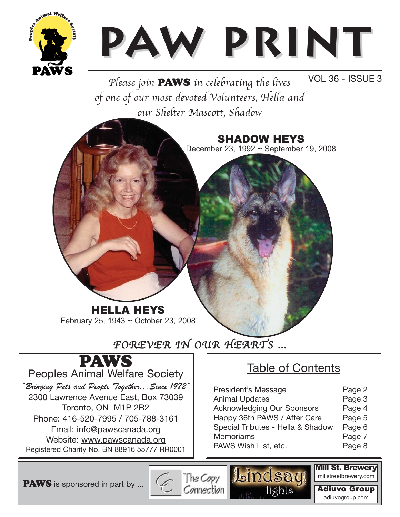

# **Paw Print w Print**

Please join **PAWS** in celebrating the lives VOL 36 - ISSUE 3 of one of our most devoted Volunteers, Hella and our Shelter Mascott, Shadow



# FOREVER IN OUR HEARTS …



"Bringing Pets and People Together...Since 1972" 2300 Lawrence Avenue East, Box 73039 Toronto, ON M1P 2R2 Phone: 416-520-7995 / 705-788-3161 Email: info@pawscanada.org Website: www.pawscanada.org Registered Charity No. BN 88916 55777 RR0001

## Table of Contents

| President's Message<br><b>Animal Updates</b><br><b>Acknowledging Our Sponsors</b><br>Happy 36th PAWS / After Care<br>Special Tributes - Hella & Shadow<br><b>Memoriams</b> | Page 2<br>Page 3<br>Page 4<br>Page 5<br>Page 6<br>Page 7 |
|----------------------------------------------------------------------------------------------------------------------------------------------------------------------------|----------------------------------------------------------|
| PAWS Wish List, etc.                                                                                                                                                       | Page 8                                                   |
|                                                                                                                                                                            |                                                          |

PAWS is sponsored in part by ...

E The Copy Lindsay

Mill St. Brewery millstreetbrewery.com

Adiuvo Group adiuvogroup.com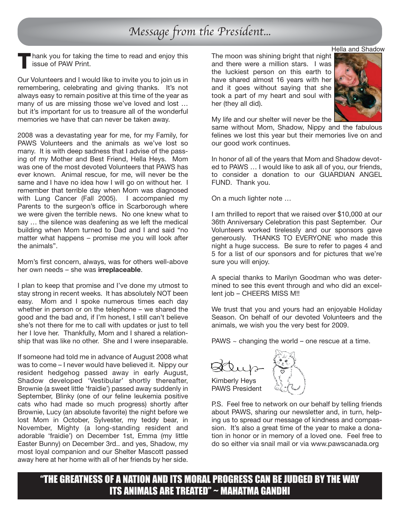# Message from the President...

hank you for taking the time to read and enjoy this issue of PAW Print. **T**

Our Volunteers and I would like to invite you to join us in remembering, celebrating and giving thanks. It's not always easy to remain positive at this time of the year as many of us are missing those we've loved and lost … but it's important for us to treasure all of the wonderful memories we have that can never be taken away.

2008 was a devastating year for me, for my Family, for PAWS Volunteers and the animals as we've lost so many. It is with deep sadness that I advise of the passing of my Mother and Best Friend, Hella Heys. Mom was one of the most devoted Volunteers that PAWS has ever known. Animal rescue, for me, will never be the same and I have no idea how I will go on without her. I remember that terrible day when Mom was diagnosed with Lung Cancer (Fall 2005). I accompanied my Parents to the surgeon's office in Scarborough where we were given the terrible news. No one knew what to say … the silence was deafening as we left the medical building when Mom turned to Dad and I and said "no matter what happens – promise me you will look after the animals".

Mom's first concern, always, was for others well-above her own needs – she was **irreplaceable**.

I plan to keep that promise and I've done my utmost to stay strong in recent weeks. It has absolutely NOT been easy. Mom and I spoke numerous times each day whether in person or on the telephone – we shared the good and the bad and, if I'm honest, I still can't believe she's not there for me to call with updates or just to tell her I love her. Thankfully, Mom and I shared a relationship that was like no other. She and I were inseparable.

If someone had told me in advance of August 2008 what was to come – I never would have believed it. Nippy our resident hedgehog passed away in early August, Shadow developed 'Vestibular' shortly thereafter, Brownie (a sweet little 'fraidie') passed away suddenly in September, Blinky (one of our feline leukemia positive cats who had made so much progress) shortly after Brownie, Lucy (an absolute favorite) the night before we lost Mom in October, Sylvester, my teddy bear, in November, Mighty (a long-standing resident and adorable 'fraidie') on December 1st, Emma (my little Easter Bunny) on December 3rd.. and yes, Shadow, my most loyal companion and our Shelter Mascott passed away here at her home with all of her friends by her side.

The moon was shining bright that night and there were a million stars. I was the luckiest person on this earth to have shared almost 16 years with her and it goes without saying that she took a part of my heart and soul with her (they all did).



My life and our shelter will never be the

same without Mom, Shadow, Nippy and the fabulous felines we lost this year but their memories live on and our good work continues.

In honor of all of the years that Mom and Shadow devoted to PAWS … I would like to ask all of you, our friends, to consider a donation to our GUARDIAN ANGEL FUND. Thank you.

On a much lighter note …

I am thrilled to report that we raised over \$10,000 at our 36th Anniversary Celebration this past September. Our Volunteers worked tirelessly and our sponsors gave generously. THANKS TO EVERYONE who made this night a huge success. Be sure to refer to pages 4 and 5 for a list of our sponsors and for pictures that we're sure you will enjoy.

A special thanks to Marilyn Goodman who was determined to see this event through and who did an excellent job – CHEERS MISS M!!

We trust that you and yours had an enjoyable Holiday Season. On behalf of our devoted Volunteers and the animals, we wish you the very best for 2009.

PAWS  $\sim$  changing the world – one rescue at a time.

Kimberly Heys PAWS President

P.S. Feel free to network on our behalf by telling friends about PAWS, sharing our newsletter and, in turn, helping us to spread our message of kindness and compassion. It's also a great time of the year to make a donation in honor or in memory of a loved one. Feel free to do so either via snail mail or via www.pawscanada.org

"THE GREATNESS OF A NATION AND ITS MORAL PROGRESS CAN BE JUDGED BY THE WAY ITS ANIMALS ARE TREATED" ~ MAHATMA GANDHI

#### Hella and Shadow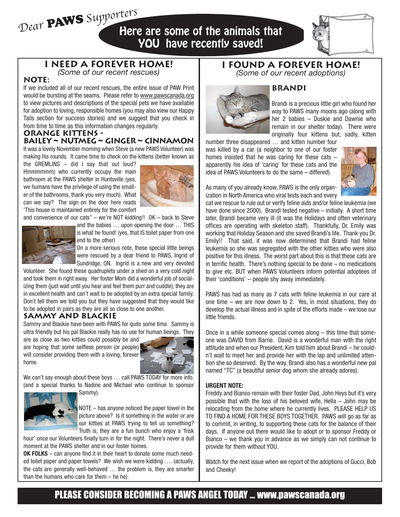Dear PAWS Supporters Here are some of the animals that YOU have recently saved!



**I NEED A FOREVER HOME!** *(Some of our recent rescues)*

## **NOTE:**

If we included all of our recent rescues, the entire issue of PAW Print would be bursting at the seams. Please refer to www.pawscanada.org to view pictures and descriptions of the special pets we have available for adoption to loving, responsible homes (you may also view our Happy Tails section for success stories) and we suggest that you check in from time to time as this information changes regularly.

#### **ORANGE KITTENS - Bailey** ~ **Nutmeg** ~ **Ginger** ~ **Cinnamon**

It was a lovely November morning when Steve (a new PAWS Volunteer) was making his rounds. It came time to check on the kittens (better known as

the GREMLINS – did I say that out loud? Hmmmmmm) who currently occupy the main bathroom at the PAWS shelter in Huntsville (yes, we humans have the privilege of using the smaller of the bathrooms, thank you very much). What can we say? The sign on the door here reads 'This house is maintained entirely for the comfort



and convenience of our cats" – we're NOT kidding!! OK – back to Steve



and the babies … upon opening the door … THIS is what he found! (yes, that IS toilet paper from one end to the other)

On a more serious note, these special little beings were rescued by a dear friend to PAWS, Ingrid of Sundridge, ON. Ingrid is a new and very devoted

Volunteer. She found these quadruplets under a shed on a very cold night and took them in right away. Her foster Mom did a wonderful job of socializing them (just wait until you hear and feel them purr and cuddle), they are in excellent health and can't wait to be adopted by an extra special family. Don't tell them we told you but they have suggested that they would like to be adopted in pairs as they are all so close to one another.

## **SAMMY AND BLACKIE**

Sammy and Blackie have been with PAWS for quite some time. Sammy is ultra friendly but his pal Blackie really has no use for human beings. They

are as close as two kitties could possibly be and are hoping that some selfless person (or people) will consider providing them with a loving, forever home.



We can't say enough about these boys … call PAWS TODAY for more info. (and a special thanks to Nadine and Michael who continue to sponsor Sammy).



NOTE – has anyone noticed the paper towel in the picture above? Is it something in the water or are our kitties at PAWS trying to tell us something? Truth is, they are a fun bunch who enjoy a 'frisk

hour' once our Volunteers finally turn in for the night. There's never a dull moment at the PAWS shelter and in our foster homes.

**OK FOLKS** – can anyone find it in their heart to donate some much needed toilet paper and paper towels? We wish we were kidding …. (actually, the cats are generally well-behaved … the problem is, they are smarter than the humans who care for them – he he).

## **I FOUND A FOREVER HOME!**



#### *(Some of our recent adoptions)*

Brandi is a precious little girl who found her way to PAWS many moons ago (along with her 2 babies – Duskie and Dawnie who remain in our shelter today). There were originally four kittens but, sadly, kitten

number three disappeared … and kitten number four was killed by a car (a neighbor to one of our foster homes insisted that he was caring for these cats – apparently his idea of 'caring' for these cats and the idea of PAWS Volunteers to do the same – differed).



As many of you already know, PAWS is the only organization in North America who viral tests each and every

cat we rescue to rule out or verify feline aids and/or feline leukemia (we have done since 2000). Brandi tested negative – initially. A short time later, Brandi became very ill (it was the Holidays and often veterinary offices are operating with skeleton staff). Thankfully, Dr. Emily was working that Holiday Season and she saved Brandi's life. Thank you Dr. Emily!! That said, it was now determined that Brandi had feline leukemia so she was segregated with the other kitties who were also positive for this illness. The worst part about this is that these cats are in terrific health. There's nothing special to be done – no medications to give etc. BUT when PAWS Volunteers inform potential adoptees of their 'conditions' – people shy away immediately.

PAWS has had as many as 7 cats with feline leukemia in our care at one time – we are now down to 2. Yes, in most situations, they do develop the actual illness and in spite of the efforts made – we lose our little friends.

Once in a while someone special comes along – this time that someone was DAVID from Barrie. David is a wonderful man with the right attitude and when our President, Kim told him about Brandi – he couldn't wait to meet her and provide her with the lap and unlimited attention she so deserved. By the way, Brandi also has a wonderful new pal named "TC" (a beautiful senior dog whom she already adores).

#### **URGENT NOTE:**

Freddy and Bianco remain with their foster Dad, John Heys but it's very possible that with the loss of his beloved wife, Hella – John may be relocating from the home where he currently lives. PLEASE HELP US TO FIND A HOME FOR THESE BOYS TOGETHER. PAWS will go as far as to commit, in writing, to supporting these cats for the balance of their days. If anyone out there would like to adopt or to sponsor Freddy or Bianco – we thank you in advance as we simply can not continue to provide for them without YOU.

Watch for the next issue when we report of the adoptions of Gucci, Bob and Cheeky!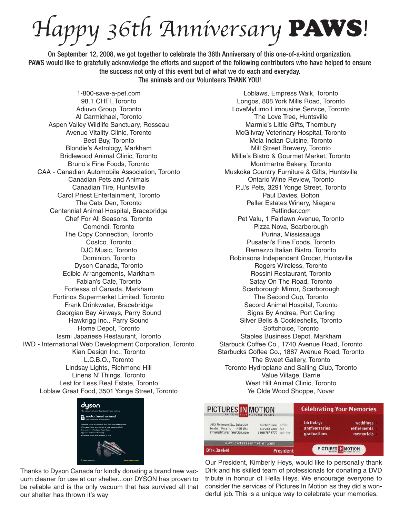appy 36th Anniversary PAWS!

On September 12, 2008, we got together to celebrate the 36th Anniversary of this one-of-a-kind organization. PAWS would like to gratefully acknowledge the efforts and support of the following contributors who have helped to ensure the success not only of this event but of what we do each and everyday. The animals and our Volunteers THANK YOU!

1-800-save-a-pet.com 98.1 CHFI, Toronto Adiuvo Group, Toronto Al Carmichael, Toronto Aspen Valley Wildlife Sanctuary, Rosseau Avenue Vitality Clinic, Toronto Best Buy, Toronto Blondie's Astrology, Markham Bridlewood Animal Clinic, Toronto Bruno's Fine Foods, Toronto CAA - Canadian Automobile Association, Toronto Canadian Pets and Animals Canadian Tire, Huntsville Carol Priest Entertainment, Toronto The Cats Den, Toronto Centennial Animal Hospital, Bracebridge Chef For All Seasons, Toronto Comondi, Toronto The Copy Connection, Toronto Costco, Toronto DJC Music, Toronto Dominion, Toronto Dyson Canada, Toronto Edible Arrangements, Markham Fabian's Cafe, Toronto Fortessa of Canada, Markham Fortinos Supermarket Limited, Toronto Frank Drinkwater, Bracebridge Georgian Bay Airways, Parry Sound Hawkrigg Inc., Parry Sound Home Depot, Toronto Issmi Japanese Restaurant, Toronto IWD - International Web Development Corporation, Toronto Kian Design Inc., Toronto L.C.B.O., Toronto Lindsay Lights, Richmond Hill Linens N' Things, Toronto Lest for Less Real Estate, Toronto Loblaw Great Food, 3501 Yonge Street, Toronto



Thanks to Dyson Canada for kindly donating a brand new vacuum cleaner for use at our shelter...our DYSON has proven to be reliable and is the only vacuum that has survived all that our shelter has thrown it's way

Loblaws, Empress Walk, Toronto Longos, 808 York Mills Road, Toronto LoveMyLimo Limousine Service, Toronto The Love Tree, Huntsville Marmie's Little Gifts, Thornbury McGilvray Veterinary Hospital, Toronto Mela Indian Cuisine, Toronto Mill Street Brewery, Toronto Millie's Bistro & Gourmet Market, Toronto Montmartre Bakery, Toronto Muskoka Country Furniture & Gifts, Huntsville Ontario Wine Review, Toronto P.J.'s Pets, 3291 Yonge Street, Toronto Paul Davies, Bolton Peller Estates Winery, Niagara Petfinder.com Pet Valu, 1 Fairlawn Avenue, Toronto Pizza Nova, Scarborough Purina, Mississauga Pusateri's Fine Foods, Toronto Remezzo Italian Bistro, Toronto Robinsons Independent Grocer, Huntsville Rogers Wireless, Toronto Rossini Restaurant, Toronto Satay On The Road, Toronto Scarborough Mirror, Scarborough The Second Cup, Toronto Secord Animal Hospital, Toronto Signs By Andrea, Port Carling Silver Bells & Cockleshells, Toronto Softchoice, Toronto Staples Business Depot, Markham Starbuck Coffee Co., 1740 Avenue Road, Toronto Starbucks Coffee Co., 1887 Avenue Road, Toronto The Sweet Gallery, Toronto Toronto Hydroplane and Sailing Club, Toronto Value Village, Barrie West Hill Animal Clinic, Toronto Ye Olde Wood Shoppe, Novar

| PICTURES IN MOTION                                                                   |                                                                    | <b>Celebrating Your Memories</b>                 |                                             |
|--------------------------------------------------------------------------------------|--------------------------------------------------------------------|--------------------------------------------------|---------------------------------------------|
| 1673 Richmond St., Suite 202<br>London, Ontario N6G 2N3<br>dirk@picturesinmotion.com | 519 697 9440 office<br>519 268 2204 fax<br>1866 767 8770 toll-free | <b>birthdays</b><br>anniversaries<br>graduations | weddings<br><b>retirements</b><br>memorials |
| www.picturesinmotion.com                                                             |                                                                    |                                                  |                                             |
| <b>Dirk Jaekel</b>                                                                   | <b>President</b>                                                   | PICTURES IN MOTION                               |                                             |

Our President, Kimberly Heys, would like to personally thank Dirk and his skilled team of professionals for donating a DVD tribute in honour of Hella Heys. We encourage everyone to consider the services of Pictures In Motion as they did a wonderful job. This is a unique way to celebrate your memories.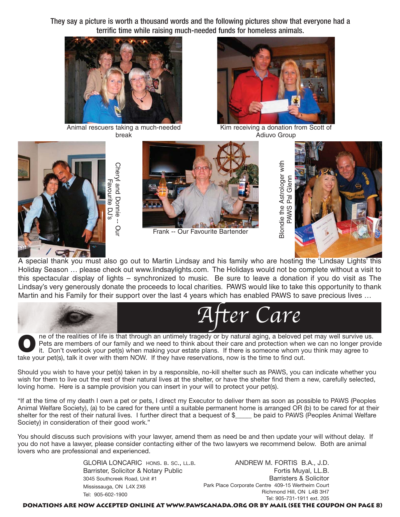They say a picture is worth a thousand words and the following pictures show that everyone had a terrific time while raising much-needed funds for homeless animals.



Animal rescuers taking a much-needed break

Cheryl and Donnie -- Our



Kim receiving a donation from Scott of Adiuvo Group





Frank -- Our Favourite Bartender



A special thank you must also go out to Martin Lindsay and his family who are hosting the 'Lindsay Lights' this Holiday Season … please check out www.lindsaylights.com. The Holidays would not be complete without a visit to this spectacular display of lights – synchronized to music. Be sure to leave a donation if you do visit as The Lindsay's very generously donate the proceeds to local charities. PAWS would like to take this opportunity to thank Martin and his Family for their support over the last 4 years which has enabled PAWS to save precious lives …



ne of the realities of life is that through an untimely tragedy or by natural aging, a beloved pet may well survive us. Pets are members of our family and we need to think about their care and protection when we can no longer provide it. Don't overlook your pet(s) when making your estate plans. If there is someone whom you think may agree to take your pet(s), talk it over with them NOW. If they have reservations, now is the time to find out. **O**

Should you wish to have your pet(s) taken in by a responsible, no-kill shelter such as PAWS, you can indicate whether you wish for them to live out the rest of their natural lives at the shelter, or have the shelter find them a new, carefully selected, loving home. Here is a sample provision you can insert in your will to protect your pet(s).

"If at the time of my death I own a pet or pets, I direct my Executor to deliver them as soon as possible to PAWS (Peoples Animal Welfare Society), (a) to be cared for there until a suitable permanent home is arranged OR (b) to be cared for at their shelter for the rest of their natural lives. I further direct that a bequest of \$ be paid to PAWS (Peoples Animal Welfare Society) in consideration of their good work."

You should discuss such provisions with your lawyer, amend them as need be and then update your will without delay. If you do not have a lawyer, please consider contacting either of the two lawyers we recommend below. Both are animal lovers who are professional and experienced.

> GLORIA LONCARIC HONS. B. SC., LL.B. Barrister, Solicitor & Notary Public 3045 Southcreek Road, Unit #1 Mississauga, ON L4X 2X6 Tel: 905-602-1900

ANDREW M. FORTIS B.A., J.D. Fortis Muyal, LL.B. Barristers & Solicitor Park Place Corporate Centre 409-15 Wertheim Court Richmond Hill, ON L4B 3H7 Tel: 905-731-1911 ext. 205

**Donations are now accepted online at www.pawscanada.org or by mail (see the coupon on page 8)**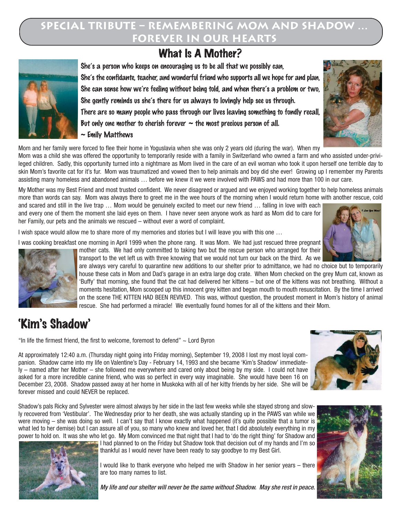## **SPECIAL TRIBUTE – REMEMBERING MOM AND SHADOW … FOREVER IN OUR HEARTS**

# What Is A Mother?



She's a person who keeps on encouraging us to be all that we possibly can, She's the confidante, teacher, and wonderful friend who supports all we hope for and plan, She can sense how we're feeling without being told, and when there's a problem or two, She gently reminds us she's there for us always to lovingly help see us through. There are so many people who pass through our lives leaving something to fondly recall, But only one mother to cherish forever  $\sim$  the most precious person of all.  $\sim$  Emily Matthews

Mom and her family were forced to flee their home in Yoguslavia when she was only 2 years old (during the war). When my

Mom was a child she was offered the opportunity to temporarily reside with a family in Switzerland who owned a farm and who assisted under-privileged children. Sadly, this opportunity turned into a nightmare as Mom lived in the care of an evil woman who took it upon herself one terrible day to skin Mom's favorite cat for it's fur. Mom was traumatized and vowed then to help animals and boy did she ever! Growing up I remember my Parents assisting many homeless and abandoned animals … before we knew it we were involved with PAWS and had more than 100 in our care.

My Mother was my Best Friend and most trusted confident. We never disagreed or argued and we enjoyed working together to help homeless animals more than words can say. Mom was always there to greet me in the wee hours of the morning when I would return home with another rescue, cold

and scared and still in the live trap … Mom would be genuinely excited to meet our new friend … falling in love with each and every one of them the moment she laid eyes on them. I have never seen anyone work as hard as Mom did to care for her Family, our pets and the animals we rescued – without ever a word of complaint.

I wish space would allow me to share more of my memories and stories but I will leave you with this one ...

I was cooking breakfast one morning in April 1999 when the phone rang. It was Mom. We had just rescued three pregnant



mother cats. We had only committed to taking two but the rescue person who arranged for their transport to the vet left us with three knowing that we would not turn our back on the third. As we

are always very careful to quarantine new additions to our shelter prior to admittance, we had no choice but to temporarily house these cats in Mom and Dad's garage in an extra large dog crate. When Mom checked on the grey Mum cat, known as 'Buffy' that morning, she found that the cat had delivered her kittens – but one of the kittens was not breathing. Without a moments hesitation, Mom scooped up this innocent grey kitten and began mouth to mouth resuscitation. By the time I arrived on the scene THE KITTEN HAD BEEN REVIVED. This was, without question, the proudest moment in Mom's history of animal rescue. She had performed a miracle! We eventually found homes for all of the kittens and their Mom.

# 'Kim's Shadow'

"In life the firmest friend, the first to welcome, foremost to defend"  $\sim$  Lord Byron

At approximately 12:40 a.m. (Thursday night going into Friday morning), September 19, 2008 I lost my most loyal companion. Shadow came into my life on Valentine's Day - February 14, 1993 and she became 'Kim's Shadow' immediately – named after her Mother – she followed me everywhere and cared only about being by my side. I could not have asked for a more incredible canine friend, who was so perfect in every way imaginable. She would have been 16 on December 23, 2008. Shadow passed away at her home in Muskoka with all of her kitty friends by her side. She will be forever missed and could NEVER be replaced.

Shadow's pals Ricky and Sylvester were almost always by her side in the last few weeks while she stayed strong and slowly recovered from 'Vestibular'. The Wednesday prior to her death, she was actually standing up in the PAWS van while we were moving – she was doing so well. I can't say that I know exactly what happened (it's quite possible that a tumor is what led to her demise) but I can assure all of you, so many who knew and loved her, that I did absolutely everything in my power to hold on. It was she who let go. My Mom convinced me that night that I had to 'do the right thing' for Shadow and



I had planned to on the Friday but Shadow took that decision out of my hands and I'm so thankful as I would never have been ready to say goodbye to my Best Girl.

I would like to thank everyone who helped me with Shadow in her senior years – there are too many names to list.

My life and our shelter will never be the same without Shadow. May she rest in peace.





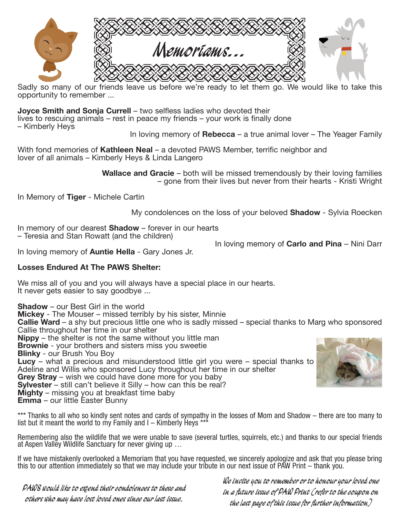

Sadly so many of our friends leave us before we're ready to let them go. We would like to take this opportunity to remember ...

**Joyce Smith and Sonja Currell** – two selfless ladies who devoted their

lives to rescuing animals – rest in peace my friends – your work is finally done

– Kimberly Heys

In loving memory of **Rebecca** – a true animal lover – The Yeager Family

With fond memories of **Kathleen Neal** – a devoted PAWS Member, terrific neighbor and lover of all animals – Kimberly Heys & Linda Langero

> **Wallace and Gracie** – both will be missed tremendously by their loving families – gone from their lives but never from their hearts - Kristi Wright

In Memory of **Tiger** - Michele Cartin

My condolences on the loss of your beloved **Shadow** - Sylvia Roecken

In memory of our dearest **Shadow** – forever in our hearts – Teresia and Stan Rowatt (and the children)

In loving memory of **Carlo and Pina** – Nini Darr

In loving memory of **Auntie Hella** - Gary Jones Jr.

### **Losses Endured At The PAWS Shelter:**

We miss all of you and you will always have a special place in our hearts. It never gets easier to say goodbye ...

**Shadow** – our Best Girl in the world **Mickey** - The Mouser – missed terribly by his sister, Minnie **Callie Ward** – a shy but precious little one who is sadly missed – special thanks to Marg who sponsored Callie throughout her time in our shelter **Nippy** – the shelter is not the same without you little man **Brownie** - your brothers and sisters miss you sweetie **Blinky** - our Brush You Boy **Lucy** – what a precious and misunderstood little girl you were – special thanks to Adeline and Willis who sponsored Lucy throughout her time in our shelter **Grey Stray** – wish we could have done more for you baby **Sylvester** – still can't believe it Silly – how can this be real? **Mighty** – missing you at breakfast time baby **Emma** – our little Easter Bunny

\*\*\* Thanks to all who so kindly sent notes and cards of sympathy in the losses of Mom and Shadow – there are too many to list but it meant the world to my Family and  $I -$  Kimberly Heys  $**$ 

Remembering also the wildlife that we were unable to save (several turtles, squirrels, etc.) and thanks to our special friends at Aspen Valley Wildlife Sanctuary for never giving up …

If we have mistakenly overlooked a Memoriam that you have requested, we sincerely apologize and ask that you please bring this to our attention immediately so that we may include your tribute in our next issue of PAW Print – thank you.

**PAWS would like to extend their condolences to these and others who may have lost loved ones since our last issue.**

**We invite you to remember or to honour your loved one in a future issue of PAW Print (refer to the coupon on the last page of this issue for further information)**